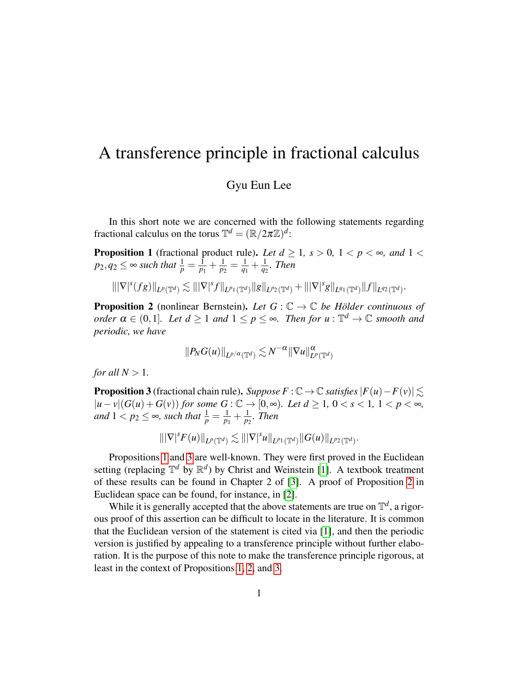## A transference principle in fractional calculus

## Gyu Eun Lee

In this short note we are concerned with the following statements regarding fractional calculus on the torus  $\mathbb{T}^d = (\mathbb{R}/2\pi\mathbb{Z})^d$ :

<span id="page-0-0"></span>**Proposition 1** (fractional product rule). Let  $d \geq 1$ ,  $s > 0$ ,  $1 < p < \infty$ , and  $1 <$  $p_2, q_2 \leq$   $\infty$  such that  $\frac{1}{p} = \frac{1}{p_1}$  $\frac{1}{p_1} + \frac{1}{p_2}$  $\frac{1}{p_2} = \frac{1}{q_1}$  $\frac{1}{q_1} + \frac{1}{q_2}$ *q*2 *. Then*

$$
\||\nabla|^s(fg)\|_{L^p(\mathbb{T}^d)} \lesssim \||\nabla|^s f\|_{L^{p_1}(\mathbb{T}^d)} \|g\|_{L^{p_2}(\mathbb{T}^d)} + \||\nabla|^s g\|_{L^{q_1}(\mathbb{T}^d)} \|f\|_{L^{q_2}(\mathbb{T}^d)}.
$$

<span id="page-0-2"></span>**Proposition 2** (nonlinear Bernstein). Let  $G : \mathbb{C} \to \mathbb{C}$  be Hölder continuous of  $\alpha$   $\alpha \in (0,1]$ *. Let*  $d \geq 1$  *and*  $1 \leq p \leq \infty$ *. Then for*  $u : \mathbb{T}^d \to \mathbb{C}$  smooth and *periodic, we have*

$$
||P_NG(u)||_{L^{p/\alpha}(\mathbb{T}^d)} \lesssim N^{-\alpha} ||\nabla u||^{\alpha}_{L^p(\mathbb{T}^d)}
$$

*for all*  $N > 1$ *.* 

<span id="page-0-1"></span>**Proposition 3** (fractional chain rule). *Suppose*  $F : \mathbb{C} \to \mathbb{C}$  *satisfies*  $|F(u) - F(v)| \leq$  $|u - v|$ (*G*(*u*) + *G*(*v*)) *for some G* : ℂ → [0,∞)*. Let d* ≥ 1, 0 < *s* < 1, 1 < *p* < ∞, *and*  $1 < p_2 \le \infty$ *, such that*  $\frac{1}{p} = \frac{1}{p_1}$  $\frac{1}{p_1} + \frac{1}{p_2}$  $\frac{1}{p_2}$ *. Then* 

$$
\||\nabla|^{s} F(u)\|_{L^{p}(\mathbb{T}^d)} \lesssim \||\nabla|^{s} u\|_{L^{p_1}(\mathbb{T}^d)} \|G(u)\|_{L^{p_2}(\mathbb{T}^d)}.
$$

Propositions [1](#page-0-0) and [3](#page-0-1) are well-known. They were first proved in the Euclidean setting (replacing  $\mathbb{T}^d$  by  $\mathbb{R}^d$ ) by Christ and Weinstein [\[1\]](#page-5-0). A textbook treatment of these results can be found in Chapter 2 of [\[3\]](#page-5-1). A proof of Proposition [2](#page-0-2) in Euclidean space can be found, for instance, in [\[2\]](#page-5-2).

While it is generally accepted that the above statements are true on  $\mathbb{T}^d$ , a rigorous proof of this assertion can be difficult to locate in the literature. It is common that the Euclidean version of the statement is cited via [\[1\]](#page-5-0), and then the periodic version is justified by appealing to a transference principle without further elaboration. It is the purpose of this note to make the transference principle rigorous, at least in the context of Propositions [1,](#page-0-0) [2,](#page-0-2) and [3.](#page-0-1)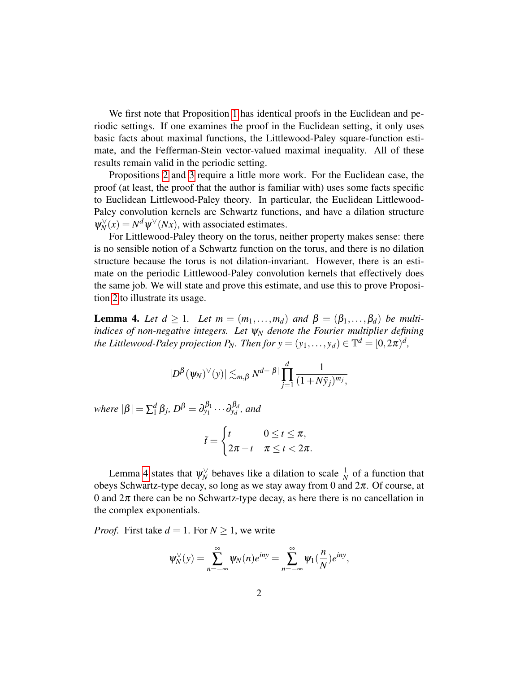We first note that Proposition [1](#page-0-0) has identical proofs in the Euclidean and periodic settings. If one examines the proof in the Euclidean setting, it only uses basic facts about maximal functions, the Littlewood-Paley square-function estimate, and the Fefferman-Stein vector-valued maximal inequality. All of these results remain valid in the periodic setting.

Propositions [2](#page-0-2) and [3](#page-0-1) require a little more work. For the Euclidean case, the proof (at least, the proof that the author is familiar with) uses some facts specific to Euclidean Littlewood-Paley theory. In particular, the Euclidean Littlewood-Paley convolution kernels are Schwartz functions, and have a dilation structure  $\psi_N^{\vee}(x) = N^d \psi^{\vee}(Nx)$ , with associated estimates.

For Littlewood-Paley theory on the torus, neither property makes sense: there is no sensible notion of a Schwartz function on the torus, and there is no dilation structure because the torus is not dilation-invariant. However, there is an estimate on the periodic Littlewood-Paley convolution kernels that effectively does the same job. We will state and prove this estimate, and use this to prove Proposition [2](#page-0-2) to illustrate its usage.

<span id="page-1-0"></span>**Lemma 4.** Let  $d \geq 1$ . Let  $m = (m_1, \ldots, m_d)$  and  $\beta = (\beta_1, \ldots, \beta_d)$  be multi*indices of non-negative integers. Let* ψ*<sup>N</sup> denote the Fourier multiplier defining the Littlewood-Paley projection P<sub>N</sub>*. Then for  $y = (y_1, \ldots, y_d) \in \mathbb{T}^d = [0, 2\pi)^d$ ,

$$
|D^{\beta}(\psi_N)^{\vee}(y)| \lesssim_{m,\beta} N^{d+|\beta|} \prod_{j=1}^d \frac{1}{(1+N\tilde{y}_j)^{m_j}},
$$

*where*  $|\beta| = \sum_{1}^{d}$  $\partial_{1}^{d}\beta_{j}$ *, D*<sup> $\beta$ </sup> =  $\partial_{y_{1}}^{\beta_{1}}\cdots\partial_{y_{d}}^{\beta_{d}}$ *, and* 

$$
\tilde{t} = \begin{cases} t & 0 \leq t \leq \pi, \\ 2\pi - t & \pi \leq t < 2\pi. \end{cases}
$$

Lemma [4](#page-1-0) states that  $\psi_N^{\vee}$  behaves like a dilation to scale  $\frac{1}{N}$  of a function that obeys Schwartz-type decay, so long as we stay away from 0 and  $2\pi$ . Of course, at 0 and  $2\pi$  there can be no Schwartz-type decay, as here there is no cancellation in the complex exponentials.

*Proof.* First take  $d = 1$ . For  $N \ge 1$ , we write

$$
\psi_N^{\vee}(y) = \sum_{n=-\infty}^{\infty} \psi_N(n) e^{iny} = \sum_{n=-\infty}^{\infty} \psi_1(\frac{n}{N}) e^{iny},
$$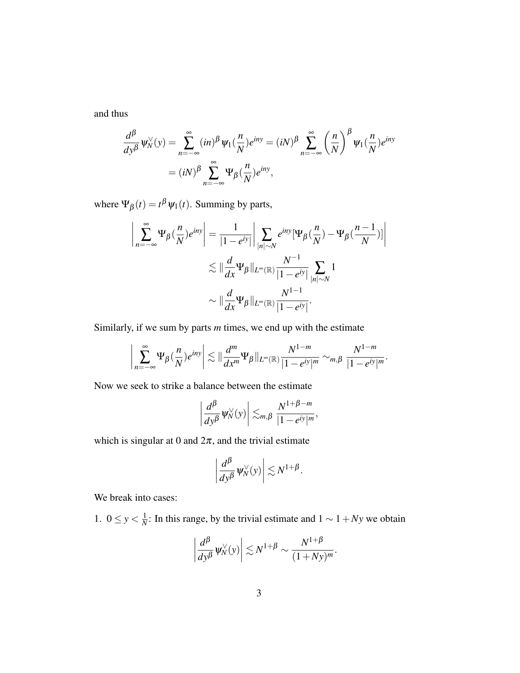and thus

$$
\frac{d^{\beta}}{dy^{\beta}}\Psi_N^{\vee}(y) = \sum_{n=-\infty}^{\infty} (in)^{\beta} \Psi_1(\frac{n}{N})e^{iny} = (iN)^{\beta} \sum_{n=-\infty}^{\infty} \left(\frac{n}{N}\right)^{\beta} \Psi_1(\frac{n}{N})e^{iny}
$$

$$
= (iN)^{\beta} \sum_{n=-\infty}^{\infty} \Psi_{\beta}(\frac{n}{N})e^{iny},
$$

where  $\Psi_{\beta}(t) = t^{\beta} \Psi_1(t)$ . Summing by parts,

$$
\left| \sum_{n=-\infty}^{\infty} \Psi_{\beta}(\frac{n}{N}) e^{i n y} \right| = \frac{1}{|1 - e^{i y}|} \left| \sum_{|n| \sim N} e^{i n y} [\Psi_{\beta}(\frac{n}{N}) - \Psi_{\beta}(\frac{n-1}{N})] \right|
$$
  

$$
\lesssim \| \frac{d}{dx} \Psi_{\beta} \|_{L^{\infty}(\mathbb{R})} \frac{N^{-1}}{|1 - e^{i y}|} \sum_{|n| \sim N} 1
$$
  

$$
\sim \| \frac{d}{dx} \Psi_{\beta} \|_{L^{\infty}(\mathbb{R})} \frac{N^{1-1}}{|1 - e^{i y}|}.
$$

Similarly, if we sum by parts *m* times, we end up with the estimate

$$
\bigg|\sum_{n=-\infty}^{\infty}\Psi_{\beta}(\frac{n}{N})e^{iny}\bigg|\lesssim \|\frac{d^m}{dx^m}\Psi_{\beta}\|_{L^{\infty}(\mathbb{R})}\frac{N^{1-m}}{|1-e^{iy}|^m}\sim_{m,\beta}\frac{N^{1-m}}{|1-e^{iy}|^m}.
$$

Now we seek to strike a balance between the estimate

$$
\left|\frac{d^{\beta}}{dy^{\beta}}\psi_N^{\vee}(y)\right|\lesssim_{m,\beta}\frac{N^{1+\beta-m}}{|1-e^{iy}|^m},
$$

which is singular at 0 and  $2\pi$ , and the trivial estimate

$$
\left|\frac{d^{\beta}}{dy^{\beta}}\psi_N^{\vee}(y)\right| \lesssim N^{1+\beta}.
$$

We break into cases:

1.  $0 \leq y < \frac{1}{N}$  $\frac{1}{N}$ : In this range, by the trivial estimate and  $1 \sim 1 + Ny$  we obtain

$$
\left|\frac{d^{\beta}}{dy^{\beta}}\Psi_N^{\vee}(y)\right| \lesssim N^{1+\beta} \sim \frac{N^{1+\beta}}{(1+Ny)^m}.
$$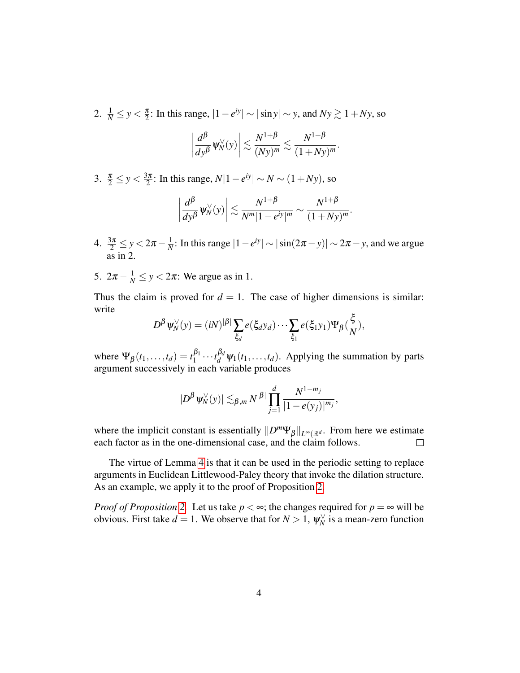2.  $\frac{1}{N} \leq y < \frac{\pi}{2}$  $\frac{\pi}{2}$ : In this range,  $|1 - e^{iy}| \sim |\sin y| \sim y$ , and  $Ny \gtrsim 1 + Ny$ , so

$$
\left|\frac{d^{\beta}}{dy^{\beta}}\Psi_N^{\vee}(y)\right|\lesssim \frac{N^{1+\beta}}{(Ny)^m}\lesssim \frac{N^{1+\beta}}{(1+Ny)^m}.
$$

3.  $\frac{\pi}{2} \leq y < \frac{3\pi}{2}$  $\frac{3\pi}{2}$ : In this range,  $N|1-e^{iy}|$  ∼  $N$  ∼  $(1+Ny)$ , so

$$
\left|\frac{d^{\beta}}{dy^{\beta}}\psi_N^{\vee}(y)\right|\lesssim \frac{N^{1+\beta}}{N^m|1-e^{iy}|^m}\sim \frac{N^{1+\beta}}{(1+Ny)^m}.
$$

- 4.  $\frac{3\pi}{2} \leq y < 2\pi \frac{1}{N}$  $\frac{1}{N}$ : In this range  $|1 - e^{iy}|$  ∼  $|\sin(2π - y)|$  ∼  $2π - y$ , and we argue as in 2.
- 5.  $2\pi \frac{1}{N} \leq y < 2\pi$ : We argue as in 1.

Thus the claim is proved for  $d = 1$ . The case of higher dimensions is similar: write

$$
D^{\beta}\psi_N^{\vee}(y)=(iN)^{|\beta|}\sum_{\xi_d}e(\xi_dy_d)\cdots\sum_{\xi_1}e(\xi_1y_1)\Psi_{\beta}(\frac{\xi}{N}),
$$

where  $\Psi_{\beta}(t_1,\ldots,t_d) = t_1^{\beta_1}$  $\int_1^{\beta_1} \cdots \int_d^{\beta_d} \psi_1(t_1,\ldots,t_d)$ . Applying the summation by parts argument successively in each variable produces

$$
|D^{\beta}\psi_N^{\vee}(y)| \lesssim_{\beta,m} N^{|\beta|} \prod_{j=1}^d \frac{N^{1-m_j}}{|1-e(y_j)|^{m_j}},
$$

where the implicit constant is essentially  $||D^m\Psi_{\beta}||_{L^{\infty}(\mathbb{R}^d)}$ . From here we estimate each factor as in the one-dimensional case, and the claim follows.  $\Box$ 

The virtue of Lemma [4](#page-1-0) is that it can be used in the periodic setting to replace arguments in Euclidean Littlewood-Paley theory that invoke the dilation structure. As an example, we apply it to the proof of Proposition [2.](#page-0-2)

*Proof of Proposition* [2.](#page-0-2) Let us take  $p < \infty$ ; the changes required for  $p = \infty$  will be obvious. First take  $d = 1$ . We observe that for  $N > 1$ ,  $\psi_N^{\vee}$  is a mean-zero function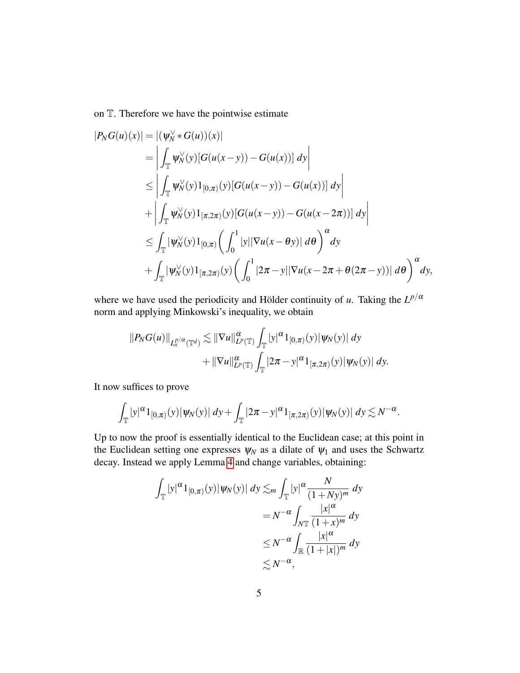on T. Therefore we have the pointwise estimate

$$
|P_N G(u)(x)| = |(\psi_N^{\vee} * G(u))(x)|
$$
  
\n
$$
= \left| \int_{\mathbb{T}} \psi_N^{\vee}(y) [G(u(x - y)) - G(u(x))] dy \right|
$$
  
\n
$$
\leq \left| \int_{\mathbb{T}} \psi_N^{\vee}(y) 1_{[0,\pi)}(y) [G(u(x - y)) - G(u(x))] dy \right|
$$
  
\n
$$
+ \left| \int_{\mathbb{T}} \psi_N^{\vee}(y) 1_{[\pi,2\pi)}(y) [G(u(x - y)) - G(u(x - 2\pi))] dy \right|
$$
  
\n
$$
\leq \int_{\mathbb{T}} |\psi_N^{\vee}(y) 1_{[0,\pi)} \left( \int_0^1 |y| |\nabla u(x - \theta y)| d\theta \right)^{\alpha} dy
$$
  
\n
$$
+ \int_{\mathbb{T}} |\psi_N^{\vee}(y) 1_{[\pi,2\pi)}(y) \left( \int_0^1 |2\pi - y| |\nabla u(x - 2\pi + \theta(2\pi - y))| d\theta \right)^{\alpha} dy,
$$

where we have used the periodicity and Hölder continuity of *u*. Taking the  $L^{p/\alpha}$ norm and applying Minkowski's inequality, we obtain

$$
||P_NG(u)||_{L_x^{p/\alpha}(\mathbb{T}^d)} \lesssim ||\nabla u||_{L^p(\mathbb{T})}^{\alpha} \int_{\mathbb{T}} |y|^{\alpha} 1_{[0,\pi)}(y) |\psi_N(y)| dy
$$
  
+ 
$$
||\nabla u||_{L^p(\mathbb{T})}^{\alpha} \int_{\mathbb{T}} |2\pi - y|^{\alpha} 1_{[\pi,2\pi)}(y) |\psi_N(y)| dy.
$$

It now suffices to prove

$$
\int_{\mathbb{T}} |y|^{\alpha} 1_{[0,\pi)}(y) |\psi_N(y)| dy + \int_{\mathbb{T}} |2\pi - y|^{\alpha} 1_{[\pi,2\pi)}(y) |\psi_N(y)| dy \lesssim N^{-\alpha}.
$$

Up to now the proof is essentially identical to the Euclidean case; at this point in the Euclidean setting one expresses  $\psi_N$  as a dilate of  $\psi_1$  and uses the Schwartz decay. Instead we apply Lemma [4](#page-1-0) and change variables, obtaining:

$$
\int_{\mathbb{T}} |y|^{\alpha} 1_{[0,\pi)}(y) |\psi_N(y)| dy \lesssim_m \int_{\mathbb{T}} |y|^{\alpha} \frac{N}{(1+Ny)^m} dy
$$
  
=  $N^{-\alpha} \int_{N\mathbb{T}} \frac{|x|^{\alpha}}{(1+x)^m} dy$   
 $\leq N^{-\alpha} \int_{\mathbb{R}} \frac{|x|^{\alpha}}{(1+|x|)^m} dy$   
 $\lesssim N^{-\alpha},$